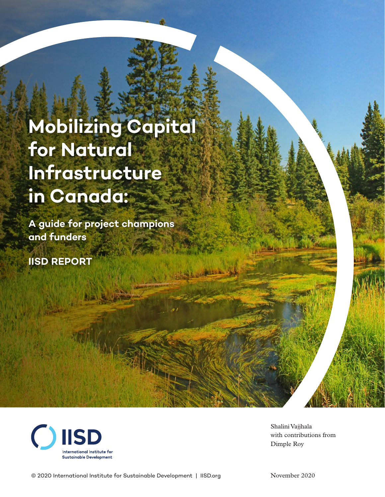# **Mobilizing Capital for Natural Infrastructure in Canada:**

**A guide for project champions and funders**

**IISD REPORT**



Shalini Vajjhala with contributions from Dimple Roy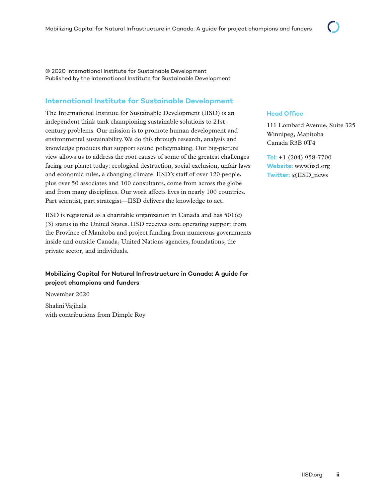© 2020 International Institute for Sustainable Development Published by the International Institute for Sustainable Development

### **International Institute for Sustainable Development**

The International Institute for Sustainable Development (IISD) is an independent think tank championing sustainable solutions to 21st– century problems. Our mission is to promote human development and environmental sustainability. We do this through research, analysis and knowledge products that support sound policymaking. Our big-picture view allows us to address the root causes of some of the greatest challenges facing our planet today: ecological destruction, social exclusion, unfair laws and economic rules, a changing climate. IISD's staff of over 120 people, plus over 50 associates and 100 consultants, come from across the globe and from many disciplines. Our work affects lives in nearly 100 countries. Part scientist, part strategist—IISD delivers the knowledge to act.

IISD is registered as a charitable organization in Canada and has  $501(c)$ (3) status in the United States. IISD receives core operating support from the Province of Manitoba and project funding from numerous governments inside and outside Canada, United Nations agencies, foundations, the private sector, and individuals.

#### **Mobilizing Capital for Natural Infrastructure in Canada: A guide for project champions and funders**

November 2020 Shalini Vajjhala with contributions from Dimple Roy

#### **Head Office**

111 Lombard Avenue, Suite 325 Winnipeg, Manitoba Canada R3B 0T4

**Tel:** +1 (204) 958-7700 **Website:** www.iisd.org **Twitter:** @IISD\_news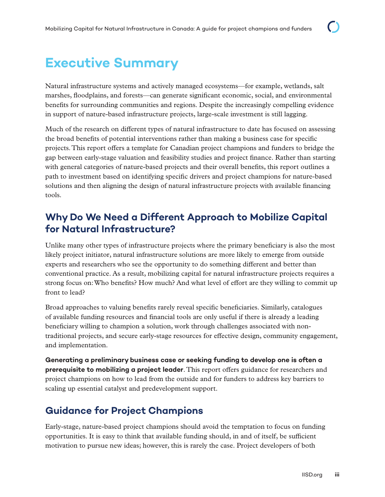## **Executive Summary**

Natural infrastructure systems and actively managed ecosystems—for example, wetlands, salt marshes, floodplains, and forests—can generate significant economic, social, and environmental benefits for surrounding communities and regions. Despite the increasingly compelling evidence in support of nature-based infrastructure projects, large-scale investment is still lagging.

Much of the research on different types of natural infrastructure to date has focused on assessing the broad benefits of potential interventions rather than making a business case for specific projects. This report offers a template for Canadian project champions and funders to bridge the gap between early-stage valuation and feasibility studies and project finance. Rather than starting with general categories of nature-based projects and their overall benefits, this report outlines a path to investment based on identifying specific drivers and project champions for nature-based solutions and then aligning the design of natural infrastructure projects with available financing tools.

### **Why Do We Need a Different Approach to Mobilize Capital for Natural Infrastructure?**

Unlike many other types of infrastructure projects where the primary beneficiary is also the most likely project initiator, natural infrastructure solutions are more likely to emerge from outside experts and researchers who see the opportunity to do something different and better than conventional practice. As a result, mobilizing capital for natural infrastructure projects requires a strong focus on: Who benefits? How much? And what level of effort are they willing to commit up front to lead?

Broad approaches to valuing benefits rarely reveal specific beneficiaries. Similarly, catalogues of available funding resources and financial tools are only useful if there is already a leading beneficiary willing to champion a solution, work through challenges associated with nontraditional projects, and secure early-stage resources for effective design, community engagement, and implementation.

**Generating a preliminary business case or seeking funding to develop one is often a prerequisite to mobilizing a project leader**. This report offers guidance for researchers and project champions on how to lead from the outside and for funders to address key barriers to scaling up essential catalyst and predevelopment support.

### **Guidance for Project Champions**

Early-stage, nature-based project champions should avoid the temptation to focus on funding opportunities. It is easy to think that available funding should, in and of itself, be sufficient motivation to pursue new ideas; however, this is rarely the case. Project developers of both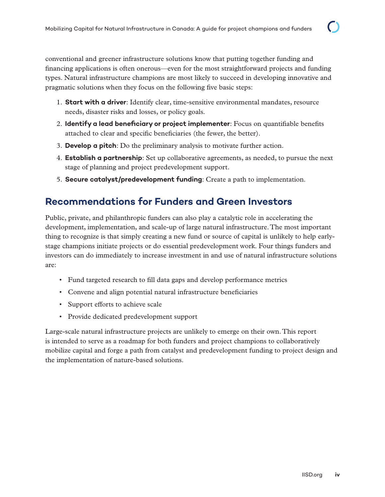conventional and greener infrastructure solutions know that putting together funding and financing applications is often onerous—even for the most straightforward projects and funding types. Natural infrastructure champions are most likely to succeed in developing innovative and pragmatic solutions when they focus on the following five basic steps:

- 1. **Start with a driver**: Identify clear, time-sensitive environmental mandates, resource needs, disaster risks and losses, or policy goals.
- 2. **Identify a lead beneficiary or project implementer**: Focus on quantifiable benefits attached to clear and specific beneficiaries (the fewer, the better).
- 3. **Develop a pitch**: Do the preliminary analysis to motivate further action.
- 4. **Establish a partnership**: Set up collaborative agreements, as needed, to pursue the next stage of planning and project predevelopment support.
- 5. **Secure catalyst/predevelopment funding**: Create a path to implementation.

### **Recommendations for Funders and Green Investors**

Public, private, and philanthropic funders can also play a catalytic role in accelerating the development, implementation, and scale-up of large natural infrastructure. The most important thing to recognize is that simply creating a new fund or source of capital is unlikely to help earlystage champions initiate projects or do essential predevelopment work. Four things funders and investors can do immediately to increase investment in and use of natural infrastructure solutions are:

- Fund targeted research to fill data gaps and develop performance metrics
- Convene and align potential natural infrastructure beneficiaries
- Support efforts to achieve scale
- Provide dedicated predevelopment support

Large-scale natural infrastructure projects are unlikely to emerge on their own. This report is intended to serve as a roadmap for both funders and project champions to collaboratively mobilize capital and forge a path from catalyst and predevelopment funding to project design and the implementation of nature-based solutions.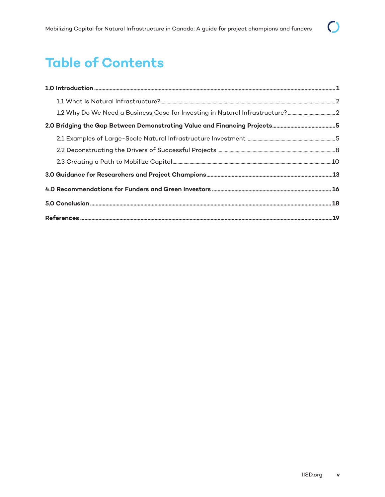## **Table of Contents**

| 1.2 Why Do We Need a Business Case for Investing in Natural Infrastructure?2 |  |
|------------------------------------------------------------------------------|--|
|                                                                              |  |
|                                                                              |  |
|                                                                              |  |
|                                                                              |  |
|                                                                              |  |
|                                                                              |  |
|                                                                              |  |
|                                                                              |  |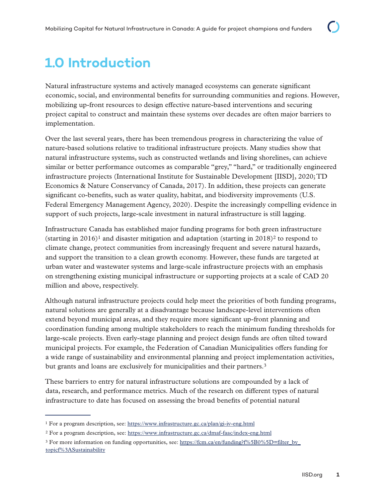## <span id="page-5-0"></span>**1.0 Introduction**

Natural infrastructure systems and actively managed ecosystems can generate significant economic, social, and environmental benefits for surrounding communities and regions. However, mobilizing up-front resources to design effective nature-based interventions and securing project capital to construct and maintain these systems over decades are often major barriers to implementation.

Over the last several years, there has been tremendous progress in characterizing the value of nature-based solutions relative to traditional infrastructure projects. Many studies show that natural infrastructure systems, such as constructed wetlands and living shorelines, can achieve similar or better performance outcomes as comparable "grey," "hard," or traditionally engineered infrastructure projects (International Institute for Sustainable Development [IISD], 2020; TD Economics & Nature Conservancy of Canada, 2017). In addition, these projects can generate significant co-benefits, such as water quality, habitat, and biodiversity improvements (U.S. Federal Emergency Management Agency, 2020). Despite the increasingly compelling evidence in support of such projects, large-scale investment in natural infrastructure is still lagging.

Infrastructure Canada has established major funding programs for both green infrastructure (starting in 2016)<sup>1</sup> and disaster mitigation and adaptation (starting in 2018)<sup>2</sup> to respond to climate change, protect communities from increasingly frequent and severe natural hazards, and support the transition to a clean growth economy. However, these funds are targeted at urban water and wastewater systems and large-scale infrastructure projects with an emphasis on strengthening existing municipal infrastructure or supporting projects at a scale of CAD 20 million and above, respectively.

Although natural infrastructure projects could help meet the priorities of both funding programs, natural solutions are generally at a disadvantage because landscape-level interventions often extend beyond municipal areas, and they require more significant up-front planning and coordination funding among multiple stakeholders to reach the minimum funding thresholds for large-scale projects. Even early-stage planning and project design funds are often tilted toward municipal projects. For example, the Federation of Canadian Municipalities offers funding for a wide range of sustainability and environmental planning and project implementation activities, but grants and loans are exclusively for municipalities and their partners.3

These barriers to entry for natural infrastructure solutions are compounded by a lack of data, research, and performance metrics. Much of the research on different types of natural infrastructure to date has focused on assessing the broad benefits of potential natural

<sup>&</sup>lt;sup>1</sup> For a program description, see: <https://www.infrastructure.gc.ca/plan/gi-iv-eng.html>

<sup>2</sup> For a program description, see:<https://www.infrastructure.gc.ca/dmaf-faac/index-eng.html>

<sup>&</sup>lt;sup>3</sup> For more information on funding opportunities, see: [https://fcm.ca/en/funding?f%5B0%5D=filter\\_by\\_](https://fcm.ca/en/funding?f%5B0%5D=filter_by_topicf%3ASustainability) [topicf%3ASustainability](https://fcm.ca/en/funding?f%5B0%5D=filter_by_topicf%3ASustainability)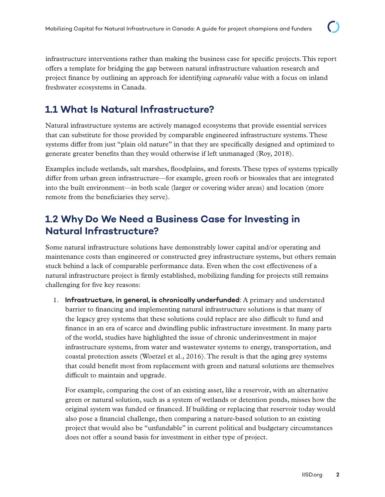<span id="page-6-0"></span>infrastructure interventions rather than making the business case for specific projects. This report offers a template for bridging the gap between natural infrastructure valuation research and project finance by outlining an approach for identifying *capturable* value with a focus on inland freshwater ecosystems in Canada.

### **1.1 What Is Natural Infrastructure?**

Natural infrastructure systems are actively managed ecosystems that provide essential services that can substitute for those provided by comparable engineered infrastructure systems. These systems differ from just "plain old nature" in that they are specifically designed and optimized to generate greater benefits than they would otherwise if left unmanaged (Roy, 2018).

Examples include wetlands, salt marshes, floodplains, and forests. These types of systems typically differ from urban green infrastructure—for example, green roofs or bioswales that are integrated into the built environment—in both scale (larger or covering wider areas) and location (more remote from the beneficiaries they serve).

### **1.2 Why Do We Need a Business Case for Investing in Natural Infrastructure?**

Some natural infrastructure solutions have demonstrably lower capital and/or operating and maintenance costs than engineered or constructed grey infrastructure systems, but others remain stuck behind a lack of comparable performance data. Even when the cost effectiveness of a natural infrastructure project is firmly established, mobilizing funding for projects still remains challenging for five key reasons:

1. **Infrastructure, in general, is chronically underfunded**: A primary and understated barrier to financing and implementing natural infrastructure solutions is that many of the legacy grey systems that these solutions could replace are also difficult to fund and finance in an era of scarce and dwindling public infrastructure investment. In many parts of the world, studies have highlighted the issue of chronic underinvestment in major infrastructure systems, from water and wastewater systems to energy, transportation, and coastal protection assets (Woetzel et al., 2016). The result is that the aging grey systems that could benefit most from replacement with green and natural solutions are themselves difficult to maintain and upgrade.

For example, comparing the cost of an existing asset, like a reservoir, with an alternative green or natural solution, such as a system of wetlands or detention ponds, misses how the original system was funded or financed. If building or replacing that reservoir today would also pose a financial challenge, then comparing a nature-based solution to an existing project that would also be "unfundable" in current political and budgetary circumstances does not offer a sound basis for investment in either type of project.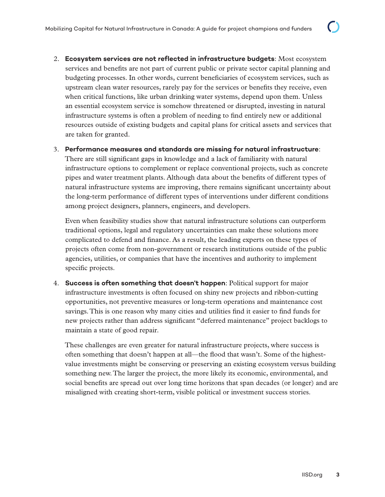2. **Ecosystem services are not reflected in infrastructure budgets**: Most ecosystem services and benefits are not part of current public or private sector capital planning and budgeting processes. In other words, current beneficiaries of ecosystem services, such as upstream clean water resources, rarely pay for the services or benefits they receive, even when critical functions, like urban drinking water systems, depend upon them. Unless an essential ecosystem service is somehow threatened or disrupted, investing in natural infrastructure systems is often a problem of needing to find entirely new or additional resources outside of existing budgets and capital plans for critical assets and services that are taken for granted.

#### 3. **Performance measures and standards are missing for natural infrastructure**:

There are still significant gaps in knowledge and a lack of familiarity with natural infrastructure options to complement or replace conventional projects, such as concrete pipes and water treatment plants. Although data about the benefits of different types of natural infrastructure systems are improving, there remains significant uncertainty about the long-term performance of different types of interventions under different conditions among project designers, planners, engineers, and developers.

Even when feasibility studies show that natural infrastructure solutions can outperform traditional options, legal and regulatory uncertainties can make these solutions more complicated to defend and finance. As a result, the leading experts on these types of projects often come from non-government or research institutions outside of the public agencies, utilities, or companies that have the incentives and authority to implement specific projects.

4. **Success is often something that doesn't happen**: Political support for major infrastructure investments is often focused on shiny new projects and ribbon-cutting opportunities, not preventive measures or long-term operations and maintenance cost savings. This is one reason why many cities and utilities find it easier to find funds for new projects rather than address significant "deferred maintenance" project backlogs to maintain a state of good repair.

These challenges are even greater for natural infrastructure projects, where success is often something that doesn't happen at all—the flood that wasn't. Some of the highestvalue investments might be conserving or preserving an existing ecosystem versus building something new. The larger the project, the more likely its economic, environmental, and social benefits are spread out over long time horizons that span decades (or longer) and are misaligned with creating short-term, visible political or investment success stories.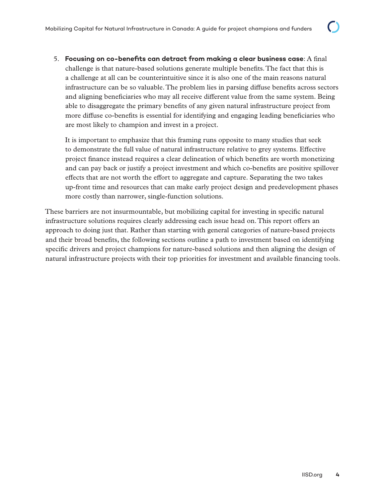5. **Focusing on co-benefits can detract from making a clear business case**: A final challenge is that nature-based solutions generate multiple benefits. The fact that this is a challenge at all can be counterintuitive since it is also one of the main reasons natural infrastructure can be so valuable. The problem lies in parsing diffuse benefits across sectors and aligning beneficiaries who may all receive different value from the same system. Being able to disaggregate the primary benefits of any given natural infrastructure project from more diffuse co-benefits is essential for identifying and engaging leading beneficiaries who are most likely to champion and invest in a project.

It is important to emphasize that this framing runs opposite to many studies that seek to demonstrate the full value of natural infrastructure relative to grey systems. Effective project finance instead requires a clear delineation of which benefits are worth monetizing and can pay back or justify a project investment and which co-benefits are positive spillover effects that are not worth the effort to aggregate and capture. Separating the two takes up-front time and resources that can make early project design and predevelopment phases more costly than narrower, single-function solutions.

These barriers are not insurmountable, but mobilizing capital for investing in specific natural infrastructure solutions requires clearly addressing each issue head on. This report offers an approach to doing just that. Rather than starting with general categories of nature-based projects and their broad benefits, the following sections outline a path to investment based on identifying specific drivers and project champions for nature-based solutions and then aligning the design of natural infrastructure projects with their top priorities for investment and available financing tools.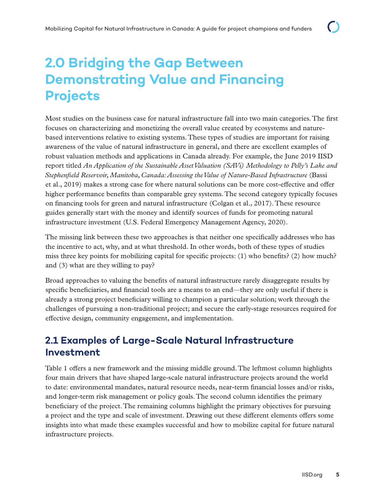## <span id="page-9-0"></span>**2.0 Bridging the Gap Between Demonstrating Value and Financing Projects**

Most studies on the business case for natural infrastructure fall into two main categories. The first focuses on characterizing and monetizing the overall value created by ecosystems and naturebased interventions relative to existing systems. These types of studies are important for raising awareness of the value of natural infrastructure in general, and there are excellent examples of robust valuation methods and applications in Canada already. For example, the June 2019 IISD report titled *An Application of the Sustainable Asset Valuation (SAVi) Methodology to Pelly's Lake and Stephenfield Reservoir, Manitoba, Canada: Assessing the Value of Nature-Based Infrastructure* (Bassi et al., 2019) makes a strong case for where natural solutions can be more cost-effective and offer higher performance benefits than comparable grey systems. The second category typically focuses on financing tools for green and natural infrastructure (Colgan et al., 2017). These resource guides generally start with the money and identify sources of funds for promoting natural infrastructure investment (U.S. Federal Emergency Management Agency, 2020).

The missing link between these two approaches is that neither one specifically addresses who has the incentive to act, why, and at what threshold. In other words, both of these types of studies miss three key points for mobilizing capital for specific projects: (1) who benefits? (2) how much? and (3) what are they willing to pay?

Broad approaches to valuing the benefits of natural infrastructure rarely disaggregate results by specific beneficiaries, and financial tools are a means to an end—they are only useful if there is already a strong project beneficiary willing to champion a particular solution; work through the challenges of pursuing a non-traditional project; and secure the early-stage resources required for effective design, community engagement, and implementation.

### **2.1 Examples of Large-Scale Natural Infrastructure Investment**

Table 1 offers a new framework and the missing middle ground. The leftmost column highlights four main drivers that have shaped large-scale natural infrastructure projects around the world to date: environmental mandates, natural resource needs, near-term financial losses and/or risks, and longer-term risk management or policy goals. The second column identifies the primary beneficiary of the project. The remaining columns highlight the primary objectives for pursuing a project and the type and scale of investment. Drawing out these different elements offers some insights into what made these examples successful and how to mobilize capital for future natural infrastructure projects.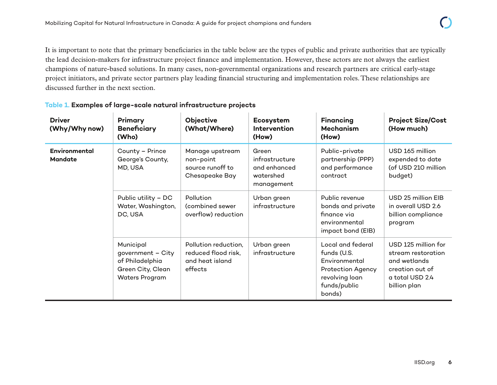It is important to note that the primary beneficiaries in the table below are the types of public and private authorities that are typically the lead decision-makers for infrastructure project finance and implementation. However, these actors are not always the earliest champions of nature-based solutions. In many cases, non-governmental organizations and research partners are critical early-stage project initiators, and private sector partners play leading financial structuring and implementation roles. These relationships are discussed further in the next section.

| <b>Driver</b><br>(Why/Why now)  | Primary<br><b>Beneficiary</b><br>(Who)                                                          | Objective<br>(What/Where)                                                 | Ecosystem<br><b>Intervention</b><br>(How)                          | <b>Financing</b><br><b>Mechanism</b><br>(How)                                                                             | <b>Project Size/Cost</b><br>(How much)                                                                          |
|---------------------------------|-------------------------------------------------------------------------------------------------|---------------------------------------------------------------------------|--------------------------------------------------------------------|---------------------------------------------------------------------------------------------------------------------------|-----------------------------------------------------------------------------------------------------------------|
| Environmental<br><b>Mandate</b> | County - Prince<br>George's County,<br>MD, USA                                                  | Manage upstream<br>non-point<br>source runoff to<br>Chesapeake Bay        | Green<br>infrastructure<br>and enhanced<br>watershed<br>management | Public-private<br>partnership (PPP)<br>and performance<br>contract                                                        | USD 165 million<br>expended to date<br>(of USD 210 million<br>budget)                                           |
|                                 | Public utility - DC<br>Water, Washington,<br>DC, USA                                            | Pollution<br>(combined sewer<br>overflow) reduction                       | Urban green<br>infrastructure                                      | Public revenue<br>bonds and private<br>finance via<br>environmental<br>impact bond (EIB)                                  | USD 25 million EIB<br>in overall USD 2.6<br>billion compliance<br>program                                       |
|                                 | Municipal<br>government - City<br>of Philadelphia<br>Green City, Clean<br><b>Waters Program</b> | Pollution reduction,<br>reduced flood risk,<br>and heat island<br>effects | Urban green<br>infrastructure                                      | Local and federal<br>funds (U.S.<br>Environmental<br><b>Protection Agency</b><br>revolving loan<br>funds/public<br>bonds) | USD 125 million for<br>stream restoration<br>and wetlands<br>creation out of<br>a total USD 2.4<br>billion plan |

#### **Table 1. Examples of large-scale natural infrastructure projects**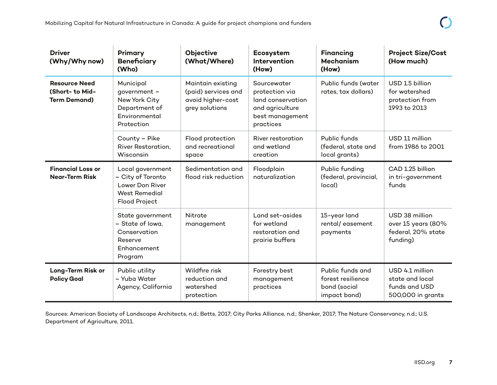| <b>Driver</b><br>(Why/Why now)                                 | Primary<br><b>Beneficiary</b><br>(Who)                                                            | Objective<br>(What/Where)                                                       | Ecosystem<br>Intervention<br>(How)                                                                    | <b>Financing</b><br><b>Mechanism</b><br>(How)                         | <b>Project Size/Cost</b><br>(How much)                                   |
|----------------------------------------------------------------|---------------------------------------------------------------------------------------------------|---------------------------------------------------------------------------------|-------------------------------------------------------------------------------------------------------|-----------------------------------------------------------------------|--------------------------------------------------------------------------|
| <b>Resource Need</b><br>(Short- to Mid-<br><b>Term Demand)</b> | Municipal<br>government -<br>New York City<br>Department of<br>Environmental<br>Protection        | Maintain existing<br>(paid) services and<br>avoid higher-cost<br>grey solutions | Sourcewater<br>protection via<br>land conservation<br>and agriculture<br>best management<br>practices | Public funds (water<br>rates, tax dollars)                            | USD 1.5 billion<br>for watershed<br>protection from<br>1993 to 2013      |
|                                                                | County - Pike<br>River Restoration,<br>Wisconsin                                                  | Flood protection<br>and recreational<br>space                                   | River restoration<br>and wetland<br>creation                                                          | Public funds<br>(federal, state and<br>local grants)                  | USD 11 million<br>from 1986 to 2001                                      |
| <b>Financial Loss or</b><br><b>Near-Term Risk</b>              | Local government<br>- City of Toronto<br>Lower Don River<br><b>West Remedial</b><br>Flood Project | Sedimentation and<br>flood risk reduction                                       | Floodplain<br>naturalization                                                                          | Public funding<br>(federal, provincial,<br>local)                     | CAD 1.25 billion<br>in tri-government<br>funds                           |
|                                                                | State government<br>- State of Iowa,<br>Conservation<br>Reserve<br>Enhancement<br>Program         | Nitrate<br>management                                                           | Land set-asides<br>for wetland<br>restoration and<br>prairie buffers                                  | 15-year land<br>rental/easement<br>payments                           | USD 38 million<br>over 15 years (80%<br>federal, 20% state<br>funding)   |
| Long-Term Risk or<br><b>Policy Goal</b>                        | Public utility<br>- Yuba Water<br>Agency, California                                              | Wildfire risk<br>reduction and<br>watershed<br>protection                       | Forestry best<br>management<br>practices                                                              | Public funds and<br>forest resilience<br>bond (social<br>impact bond) | USD 4.1 million<br>state and local<br>funds and USD<br>500,000 in grants |

Sources: American Society of Landscape Architects, n.d.; Betts, 2017; City Parks Alliance, n.d.; Shenker, 2017; The Nature Conservancy, n.d.; U.S. Department of Agriculture, 2011.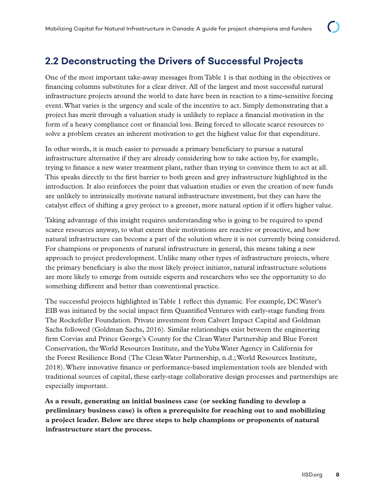### <span id="page-12-0"></span>**2.2 Deconstructing the Drivers of Successful Projects**

One of the most important take-away messages from Table 1 is that nothing in the objectives or financing columns substitutes for a clear driver. All of the largest and most successful natural infrastructure projects around the world to date have been in reaction to a time-sensitive forcing event. What varies is the urgency and scale of the incentive to act. Simply demonstrating that a project has merit through a valuation study is unlikely to replace a financial motivation in the form of a heavy compliance cost or financial loss. Being forced to allocate scarce resources to solve a problem creates an inherent motivation to get the highest value for that expenditure.

In other words, it is much easier to persuade a primary beneficiary to pursue a natural infrastructure alternative if they are already considering how to take action by, for example, trying to finance a new water treatment plant, rather than trying to convince them to act at all. This speaks directly to the first barrier to both green and grey infrastructure highlighted in the introduction. It also reinforces the point that valuation studies or even the creation of new funds are unlikely to intrinsically motivate natural infrastructure investment, but they can have the catalyst effect of shifting a grey project to a greener, more natural option if it offers higher value.

Taking advantage of this insight requires understanding who is going to be required to spend scarce resources anyway, to what extent their motivations are reactive or proactive, and how natural infrastructure can become a part of the solution where it is not currently being considered. For champions or proponents of natural infrastructure in general, this means taking a new approach to project predevelopment. Unlike many other types of infrastructure projects, where the primary beneficiary is also the most likely project initiator, natural infrastructure solutions are more likely to emerge from outside experts and researchers who see the opportunity to do something different and better than conventional practice.

The successful projects highlighted in Table 1 reflect this dynamic. For example, DC Water's EIB was initiated by the social impact firm Quantified Ventures with early-stage funding from The Rockefeller Foundation. Private investment from Calvert Impact Capital and Goldman Sachs followed (Goldman Sachs, 2016). Similar relationships exist between the engineering firm Corvias and Prince George's County for the Clean Water Partnership and Blue Forest Conservation, the World Resources Institute, and the Yuba Water Agency in California for the Forest Resilience Bond (The Clean Water Partnership, n.d.; World Resources Institute, 2018). Where innovative finance or performance-based implementation tools are blended with traditional sources of capital, these early-stage collaborative design processes and partnerships are especially important.

**As a result, generating an initial business case (or seeking funding to develop a preliminary business case) is often a prerequisite for reaching out to and mobilizing a project leader. Below are three steps to help champions or proponents of natural infrastructure start the process.**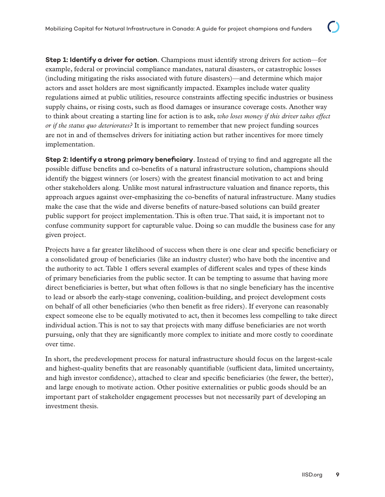**Step 1: Identify a driver for action**. Champions must identify strong drivers for action—for example, federal or provincial compliance mandates, natural disasters, or catastrophic losses (including mitigating the risks associated with future disasters)—and determine which major actors and asset holders are most significantly impacted. Examples include water quality regulations aimed at public utilities, resource constraints affecting specific industries or business supply chains, or rising costs, such as flood damages or insurance coverage costs. Another way to think about creating a starting line for action is to ask, *who loses money if this driver takes effect or if the status quo deteriorates?* It is important to remember that new project funding sources are not in and of themselves drivers for initiating action but rather incentives for more timely implementation.

**Step 2: Identify a strong primary beneficiary**. Instead of trying to find and aggregate all the possible diffuse benefits and co-benefits of a natural infrastructure solution, champions should identify the biggest winners (or losers) with the greatest financial motivation to act and bring other stakeholders along. Unlike most natural infrastructure valuation and finance reports, this approach argues against over-emphasizing the co-benefits of natural infrastructure. Many studies make the case that the wide and diverse benefits of nature-based solutions can build greater public support for project implementation. This is often true. That said, it is important not to confuse community support for capturable value. Doing so can muddle the business case for any given project.

Projects have a far greater likelihood of success when there is one clear and specific beneficiary or a consolidated group of beneficiaries (like an industry cluster) who have both the incentive and the authority to act. Table 1 offers several examples of different scales and types of these kinds of primary beneficiaries from the public sector. It can be tempting to assume that having more direct beneficiaries is better, but what often follows is that no single beneficiary has the incentive to lead or absorb the early-stage convening, coalition-building, and project development costs on behalf of all other beneficiaries (who then benefit as free riders). If everyone can reasonably expect someone else to be equally motivated to act, then it becomes less compelling to take direct individual action. This is not to say that projects with many diffuse beneficiaries are not worth pursuing, only that they are significantly more complex to initiate and more costly to coordinate over time.

In short, the predevelopment process for natural infrastructure should focus on the largest-scale and highest-quality benefits that are reasonably quantifiable (sufficient data, limited uncertainty, and high investor confidence), attached to clear and specific beneficiaries (the fewer, the better), and large enough to motivate action. Other positive externalities or public goods should be an important part of stakeholder engagement processes but not necessarily part of developing an investment thesis.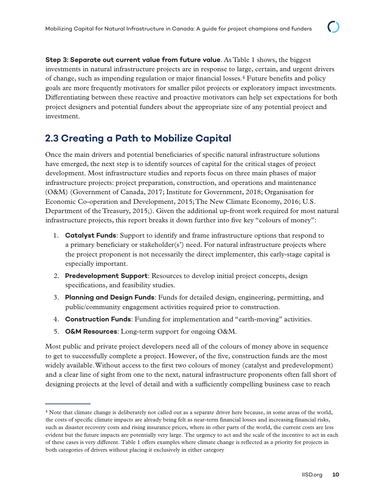<span id="page-14-0"></span>**Step 3: Separate out current value from future value**. As Table 1 shows, the biggest investments in natural infrastructure projects are in response to large, certain, and urgent drivers of change, such as impending regulation or major financial losses.4 Future benefits and policy goals are more frequently motivators for smaller pilot projects or exploratory impact investments. Differentiating between these reactive and proactive motivators can help set expectations for both project designers and potential funders about the appropriate size of any potential project and investment.

### **2.3 Creating a Path to Mobilize Capital**

Once the main drivers and potential beneficiaries of specific natural infrastructure solutions have emerged, the next step is to identify sources of capital for the critical stages of project development. Most infrastructure studies and reports focus on three main phases of major infrastructure projects: project preparation, construction, and operations and maintenance (O&M) (Government of Canada, 2017; Institute for Government, 2018; Organisation for Economic Co-operation and Development, 2015; The New Climate Economy, 2016; U.S. Department of the Treasury, 2015;). Given the additional up-front work required for most natural infrastructure projects, this report breaks it down further into five key "colours of money":

- 1. **Catalyst Funds**: Support to identify and frame infrastructure options that respond to a primary beneficiary or stakeholder(s') need. For natural infrastructure projects where the project proponent is not necessarily the direct implementer, this early-stage capital is especially important.
- 2. **Predevelopment Support**: Resources to develop initial project concepts, design specifications, and feasibility studies.
- 3. **Planning and Design Funds**: Funds for detailed design, engineering, permitting, and public/community engagement activities required prior to construction.
- 4. **Construction Funds**: Funding for implementation and "earth-moving" activities.
- 5. **O&M Resources**: Long-term support for ongoing O&M.

Most public and private project developers need all of the colours of money above in sequence to get to successfully complete a project. However, of the five, construction funds are the most widely available. Without access to the first two colours of money (catalyst and predevelopment) and a clear line of sight from one to the next, natural infrastructure proponents often fall short of designing projects at the level of detail and with a sufficiently compelling business case to reach

<sup>4</sup> Note that climate change is deliberately not called out as a separate driver here because, in some areas of the world, the costs of specific climate impacts are already being felt as near-term financial losses and increasing financial risks, such as disaster recovery costs and rising insurance prices, where in other parts of the world, the current costs are less evident but the future impacts are potentially very large. The urgency to act and the scale of the incentive to act in each of these cases is very different. Table 1 offers examples where climate change is reflected as a priority for projects in both categories of drivers without placing it exclusively in either category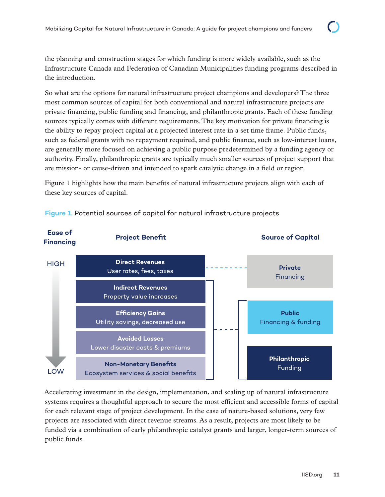the planning and construction stages for which funding is more widely available, such as the Infrastructure Canada and Federation of Canadian Municipalities funding programs described in the introduction.

So what are the options for natural infrastructure project champions and developers? The three most common sources of capital for both conventional and natural infrastructure projects are private financing, public funding and financing, and philanthropic grants. Each of these funding sources typically comes with different requirements. The key motivation for private financing is the ability to repay project capital at a projected interest rate in a set time frame. Public funds, such as federal grants with no repayment required, and public finance, such as low-interest loans, are generally more focused on achieving a public purpose predetermined by a funding agency or authority. Finally, philanthropic grants are typically much smaller sources of project support that are mission- or cause-driven and intended to spark catalytic change in a field or region.

Figure 1 highlights how the main benefits of natural infrastructure projects align with each of these key sources of capital.



#### **Figure 1.** Potential sources of capital for natural infrastructure projects

Accelerating investment in the design, implementation, and scaling up of natural infrastructure systems requires a thoughtful approach to secure the most efficient and accessible forms of capital for each relevant stage of project development. In the case of nature-based solutions, very few projects are associated with direct revenue streams. As a result, projects are most likely to be funded via a combination of early philanthropic catalyst grants and larger, longer-term sources of public funds.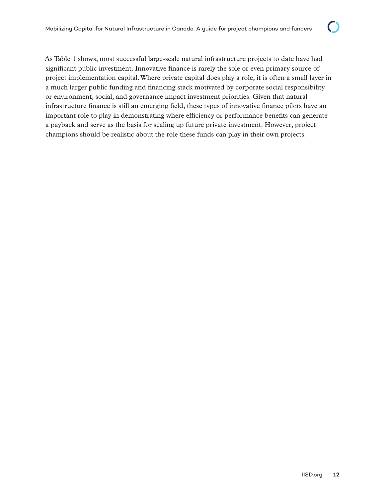As Table 1 shows, most successful large-scale natural infrastructure projects to date have had significant public investment. Innovative finance is rarely the sole or even primary source of project implementation capital. Where private capital does play a role, it is often a small layer in a much larger public funding and financing stack motivated by corporate social responsibility or environment, social, and governance impact investment priorities. Given that natural infrastructure finance is still an emerging field, these types of innovative finance pilots have an important role to play in demonstrating where efficiency or performance benefits can generate a payback and serve as the basis for scaling up future private investment. However, project champions should be realistic about the role these funds can play in their own projects.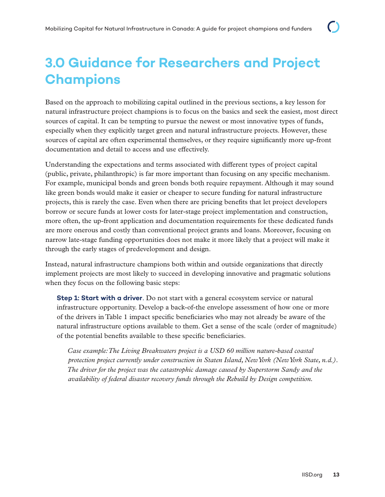## <span id="page-17-0"></span>**3.0 Guidance for Researchers and Project Champions**

Based on the approach to mobilizing capital outlined in the previous sections, a key lesson for natural infrastructure project champions is to focus on the basics and seek the easiest, most direct sources of capital. It can be tempting to pursue the newest or most innovative types of funds, especially when they explicitly target green and natural infrastructure projects. However, these sources of capital are often experimental themselves, or they require significantly more up-front documentation and detail to access and use effectively.

Understanding the expectations and terms associated with different types of project capital (public, private, philanthropic) is far more important than focusing on any specific mechanism. For example, municipal bonds and green bonds both require repayment. Although it may sound like green bonds would make it easier or cheaper to secure funding for natural infrastructure projects, this is rarely the case. Even when there are pricing benefits that let project developers borrow or secure funds at lower costs for later-stage project implementation and construction, more often, the up-front application and documentation requirements for these dedicated funds are more onerous and costly than conventional project grants and loans. Moreover, focusing on narrow late-stage funding opportunities does not make it more likely that a project will make it through the early stages of predevelopment and design.

Instead, natural infrastructure champions both within and outside organizations that directly implement projects are most likely to succeed in developing innovative and pragmatic solutions when they focus on the following basic steps:

**Step 1: Start with a driver**. Do not start with a general ecosystem service or natural infrastructure opportunity. Develop a back-of-the envelope assessment of how one or more of the drivers in Table 1 impact specific beneficiaries who may not already be aware of the natural infrastructure options available to them. Get a sense of the scale (order of magnitude) of the potential benefits available to these specific beneficiaries.

*Case example: The Living Breakwaters project is a USD 60 million nature-based coastal protection project currently under construction in Staten Island, New York (New York State, n.d.). The driver for the project was the catastrophic damage caused by Superstorm Sandy and the availability of federal disaster recovery funds through the Rebuild by Design competition.*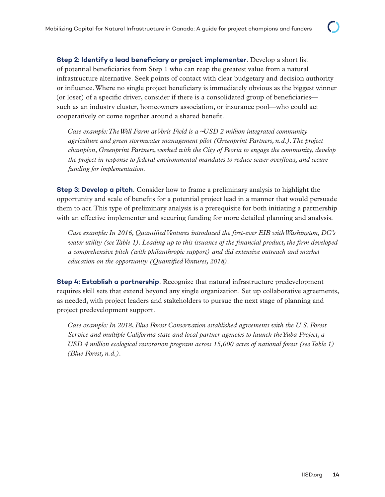**Step 2: Identify a lead beneficiary or project implementer**. Develop a short list of potential beneficiaries from Step 1 who can reap the greatest value from a natural infrastructure alternative. Seek points of contact with clear budgetary and decision authority or influence. Where no single project beneficiary is immediately obvious as the biggest winner (or loser) of a specific driver, consider if there is a consolidated group of beneficiaries such as an industry cluster, homeowners association, or insurance pool—who could act cooperatively or come together around a shared benefit.

*Case example: The Well Farm at Voris Field is a ~USD 2 million integrated community agriculture and green stormwater management pilot (Greenprint Partners, n.d.). The project champion, Greenprint Partners, worked with the City of Peoria to engage the community, develop the project in response to federal environmental mandates to reduce sewer overflows, and secure funding for implementation.* 

**Step 3: Develop a pitch**. Consider how to frame a preliminary analysis to highlight the opportunity and scale of benefits for a potential project lead in a manner that would persuade them to act. This type of preliminary analysis is a prerequisite for both initiating a partnership with an effective implementer and securing funding for more detailed planning and analysis.

*Case example: In 2016, Quantified Ventures introduced the first-ever EIB with Washington, DC's water utility (see Table 1). Leading up to this issuance of the financial product, the firm developed a comprehensive pitch (with philanthropic support) and did extensive outreach and market education on the opportunity (Quantified Ventures, 2018).* 

**Step 4: Establish a partnership**. Recognize that natural infrastructure predevelopment requires skill sets that extend beyond any single organization. Set up collaborative agreements, as needed, with project leaders and stakeholders to pursue the next stage of planning and project predevelopment support.

*Case example: In 2018, Blue Forest Conservation established agreements with the U.S. Forest Service and multiple California state and local partner agencies to launch the Yuba Project, a USD 4 million ecological restoration program across 15,000 acres of national forest (see Table 1) (Blue Forest, n.d.).*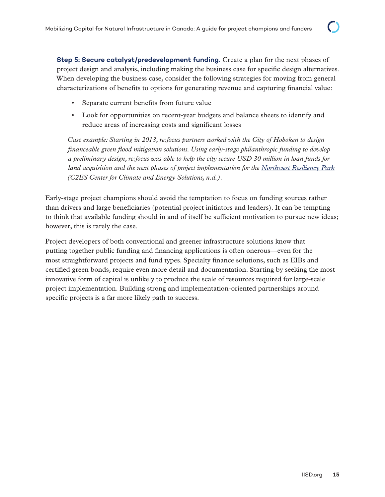**Step 5: Secure catalyst/predevelopment funding**. Create a plan for the next phases of project design and analysis, including making the business case for specific design alternatives. When developing the business case, consider the following strategies for moving from general characterizations of benefits to options for generating revenue and capturing financial value:

- Separate current benefits from future value
- Look for opportunities on recent-year budgets and balance sheets to identify and reduce areas of increasing costs and significant losses

*Case example: Starting in 2013, re:focus partners worked with the City of Hoboken to design financeable green flood mitigation solutions. Using early-stage philanthropic funding to develop a preliminary design, re:focus was able to help the city secure USD 30 million in loan funds for land acquisition and the next phases of project implementation for the [Northwest Resiliency Park](http://nwpark-cityofhoboken.opendata.arcgis.com/pages/design-update) (C2ES Center for Climate and Energy Solutions, n.d.).*

Early-stage project champions should avoid the temptation to focus on funding sources rather than drivers and large beneficiaries (potential project initiators and leaders). It can be tempting to think that available funding should in and of itself be sufficient motivation to pursue new ideas; however, this is rarely the case.

Project developers of both conventional and greener infrastructure solutions know that putting together public funding and financing applications is often onerous—even for the most straightforward projects and fund types. Specialty finance solutions, such as EIBs and certified green bonds, require even more detail and documentation. Starting by seeking the most innovative form of capital is unlikely to produce the scale of resources required for large-scale project implementation. Building strong and implementation-oriented partnerships around specific projects is a far more likely path to success.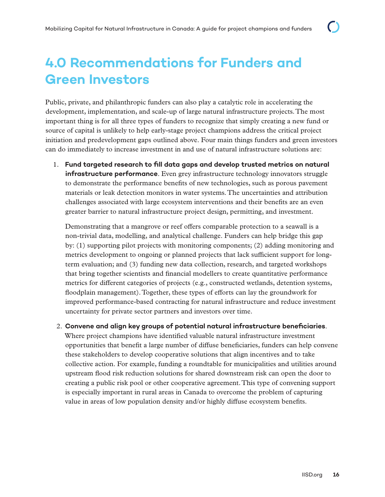## <span id="page-20-0"></span>**4.0 Recommendations for Funders and Green Investors**

Public, private, and philanthropic funders can also play a catalytic role in accelerating the development, implementation, and scale-up of large natural infrastructure projects. The most important thing is for all three types of funders to recognize that simply creating a new fund or source of capital is unlikely to help early-stage project champions address the critical project initiation and predevelopment gaps outlined above. Four main things funders and green investors can do immediately to increase investment in and use of natural infrastructure solutions are:

1. **Fund targeted research to fill data gaps and develop trusted metrics on natural infrastructure performance**. Even grey infrastructure technology innovators struggle to demonstrate the performance benefits of new technologies, such as porous pavement materials or leak detection monitors in water systems. The uncertainties and attribution challenges associated with large ecosystem interventions and their benefits are an even greater barrier to natural infrastructure project design, permitting, and investment.

Demonstrating that a mangrove or reef offers comparable protection to a seawall is a non-trivial data, modelling, and analytical challenge. Funders can help bridge this gap by: (1) supporting pilot projects with monitoring components; (2) adding monitoring and metrics development to ongoing or planned projects that lack sufficient support for longterm evaluation; and (3) funding new data collection, research, and targeted workshops that bring together scientists and financial modellers to create quantitative performance metrics for different categories of projects (e.g., constructed wetlands, detention systems, floodplain management). Together, these types of efforts can lay the groundwork for improved performance-based contracting for natural infrastructure and reduce investment uncertainty for private sector partners and investors over time.

#### 2. **Convene and align key groups of potential natural infrastructure beneficiaries**.

Where project champions have identified valuable natural infrastructure investment opportunities that benefit a large number of diffuse beneficiaries, funders can help convene these stakeholders to develop cooperative solutions that align incentives and to take collective action. For example, funding a roundtable for municipalities and utilities around upstream flood risk reduction solutions for shared downstream risk can open the door to creating a public risk pool or other cooperative agreement. This type of convening support is especially important in rural areas in Canada to overcome the problem of capturing value in areas of low population density and/or highly diffuse ecosystem benefits.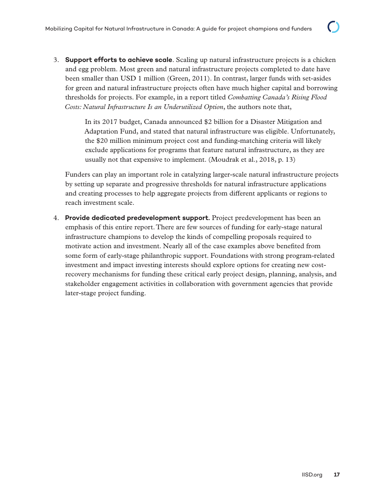3. **Support efforts to achieve scale**. Scaling up natural infrastructure projects is a chicken and egg problem. Most green and natural infrastructure projects completed to date have been smaller than USD 1 million (Green, 2011). In contrast, larger funds with set-asides for green and natural infrastructure projects often have much higher capital and borrowing thresholds for projects. For example, in a report titled *Combatting Canada's Rising Flood Costs: Natural Infrastructure Is an Underutilized Option*, the authors note that,

> In its 2017 budget, Canada announced \$2 billion for a Disaster Mitigation and Adaptation Fund, and stated that natural infrastructure was eligible. Unfortunately, the \$20 million minimum project cost and funding-matching criteria will likely exclude applications for programs that feature natural infrastructure, as they are usually not that expensive to implement. (Moudrak et al., 2018, p. 13)

Funders can play an important role in catalyzing larger-scale natural infrastructure projects by setting up separate and progressive thresholds for natural infrastructure applications and creating processes to help aggregate projects from different applicants or regions to reach investment scale.

4. **Provide dedicated predevelopment support.** Project predevelopment has been an emphasis of this entire report. There are few sources of funding for early-stage natural infrastructure champions to develop the kinds of compelling proposals required to motivate action and investment. Nearly all of the case examples above benefited from some form of early-stage philanthropic support. Foundations with strong program-related investment and impact investing interests should explore options for creating new costrecovery mechanisms for funding these critical early project design, planning, analysis, and stakeholder engagement activities in collaboration with government agencies that provide later-stage project funding.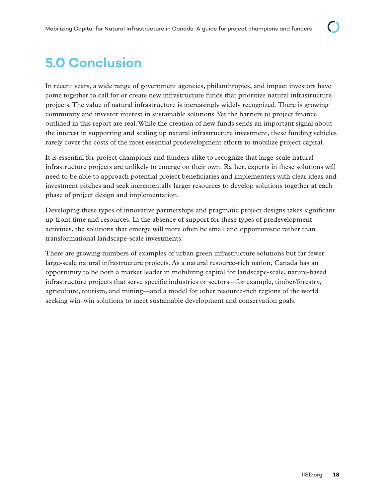## <span id="page-22-0"></span>**5.0 Conclusion**

In recent years, a wide range of government agencies, philanthropies, and impact investors have come together to call for or create new infrastructure funds that prioritize natural infrastructure projects. The value of natural infrastructure is increasingly widely recognized. There is growing community and investor interest in sustainable solutions. Yet the barriers to project finance outlined in this report are real. While the creation of new funds sends an important signal about the interest in supporting and scaling up natural infrastructure investment, these funding vehicles rarely cover the costs of the most essential predevelopment efforts to mobilize project capital.

It is essential for project champions and funders alike to recognize that large-scale natural infrastructure projects are unlikely to emerge on their own. Rather, experts in these solutions will need to be able to approach potential project beneficiaries and implementers with clear ideas and investment pitches and seek incrementally larger resources to develop solutions together at each phase of project design and implementation.

Developing these types of innovative partnerships and pragmatic project designs takes significant up-front time and resources. In the absence of support for these types of predevelopment activities, the solutions that emerge will more often be small and opportunistic rather than transformational landscape-scale investments.

There are growing numbers of examples of urban green infrastructure solutions but far fewer large-scale natural infrastructure projects. As a natural resource-rich nation, Canada has an opportunity to be both a market leader in mobilizing capital for landscape-scale, nature-based infrastructure projects that serve specific industries or sectors—for example, timber/forestry, agriculture, tourism, and mining—and a model for other resource-rich regions of the world seeking win–win solutions to meet sustainable development and conservation goals.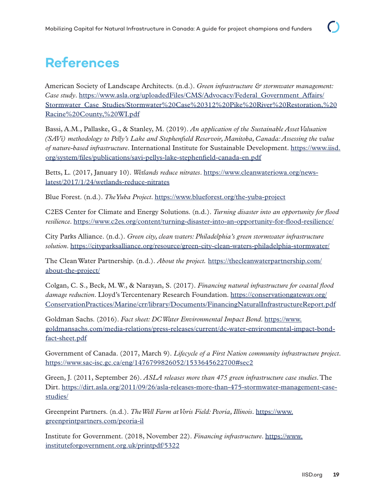## <span id="page-23-0"></span>**References**

American Society of Landscape Architects. (n.d.). *Green infrastructure & stormwater management: Case study*. [https://www.asla.org/uploadedFiles/CMS/Advocacy/Federal\\_Government\\_Affairs/](https://www.asla.org/uploadedFiles/CMS/Advocacy/Federal_Government_Affairs/Stormwater_Case_Studies/Stormwater%20Case%20312%20Pike%20River%20Restoration,%20Racine%20County,%20WI.pdf) [Stormwater\\_Case\\_Studies/Stormwater%20Case%20312%20Pike%20River%20Restoration,%20](https://www.asla.org/uploadedFiles/CMS/Advocacy/Federal_Government_Affairs/Stormwater_Case_Studies/Stormwater%20Case%20312%20Pike%20River%20Restoration,%20Racine%20County,%20WI.pdf) [Racine%20County,%20WI.pdf](https://www.asla.org/uploadedFiles/CMS/Advocacy/Federal_Government_Affairs/Stormwater_Case_Studies/Stormwater%20Case%20312%20Pike%20River%20Restoration,%20Racine%20County,%20WI.pdf)

Bassi, A.M., Pallaske, G., & Stanley, M. (2019). *An application of the Sustainable Asset Valuation (SAVi) methodology to Pelly's Lake and Stephenfield Reservoir, Manitoba, Canada: Assessing the value of nature-based infrastructure*. International Institute for Sustainable Development. [https://www.iisd.](https://www.iisd.org/system/files/publications/savi-pellys-lake-stephenfield-canada-en.pdf) [org/system/files/publications/savi-pellys-lake-stephenfield-canada-en.pdf](https://www.iisd.org/system/files/publications/savi-pellys-lake-stephenfield-canada-en.pdf)

Betts, L. (2017, January 10). *Wetlands reduce nitrates*. [https://www.cleanwateriowa.org/news](https://www.cleanwateriowa.org/news-latest/2017/1/24/wetlands-reduce-nitrates)[latest/2017/1/24/wetlands-reduce-nitrates](https://www.cleanwateriowa.org/news-latest/2017/1/24/wetlands-reduce-nitrates)

Blue Forest. (n.d.). *The Yuba Project*.<https://www.blueforest.org/the-yuba-project>

C2ES Center for Climate and Energy Solutions. (n.d.). *Turning disaster into an opportunity for flood resilience*.<https://www.c2es.org/content/turning-disaster-into-an-opportunity-for-flood-resilience/>

City Parks Alliance. (n.d.). *Green city, clean waters: Philadelphia's green stormwater infrastructure solution*.<https://cityparksalliance.org/resource/green-city-clean-waters-philadelphia-stormwater/>

The Clean Water Partnership. (n.d.). *About the project.* [https://thecleanwaterpartnership.com/](https://thecleanwaterpartnership.com/about-the-project/) [about-the-project/](https://thecleanwaterpartnership.com/about-the-project/)

Colgan, C. S., Beck, M. W., & Narayan, S. (2017). *Financing natural infrastructure for coastal flood damage reduction*. Lloyd's Tercentenary Research Foundation. [https://conservationgateway.org/](https://conservationgateway.org/ConservationPractices/Marine/crr/library/Documents/FinancingNaturalInfrastructureReport.pdf) [ConservationPractices/Marine/crr/library/Documents/FinancingNaturalInfrastructureReport.pdf](https://conservationgateway.org/ConservationPractices/Marine/crr/library/Documents/FinancingNaturalInfrastructureReport.pdf)

Goldman Sachs. (2016). *Fact sheet: DC Water Environmental Impact Bond*. [https://www.](https://www.goldmansachs.com/media-relations/press-releases/current/dc-water-environmental-impact-bond-fact-sheet.pdf) [goldmansachs.com/media-relations/press-releases/current/dc-water-environmental-impact-bond](https://www.goldmansachs.com/media-relations/press-releases/current/dc-water-environmental-impact-bond-fact-sheet.pdf)[fact-sheet.pdf](https://www.goldmansachs.com/media-relations/press-releases/current/dc-water-environmental-impact-bond-fact-sheet.pdf)

Government of Canada. (2017, March 9). *Lifecycle of a First Nation community infrastructure project*. <https://www.sac-isc.gc.ca/eng/1476799826052/1533645622700#sec2>

Green, J. (2011, September 26). *ASLA releases more than 475 green infrastructure case studies*. The Dirt. [https://dirt.asla.org/2011/09/26/asla-releases-more-than-475-stormwater-management-case](https://dirt.asla.org/2011/09/26/asla-releases-more-than-475-stormwater-management-case-studies/)[studies/](https://dirt.asla.org/2011/09/26/asla-releases-more-than-475-stormwater-management-case-studies/)

Greenprint Partners. (n.d.). *The Well Farm at Voris Field: Peoria, Illinois*. [https://www.](https://www.greenprintpartners.com/peoria-il) [greenprintpartners.com/peoria-il](https://www.greenprintpartners.com/peoria-il)

Institute for Government. (2018, November 22). *Financing infrastructure*. [https://www.](https://www.instituteforgovernment.org.uk/printpdf/5322) [instituteforgovernment.org.uk/printpdf/5322](https://www.instituteforgovernment.org.uk/printpdf/5322)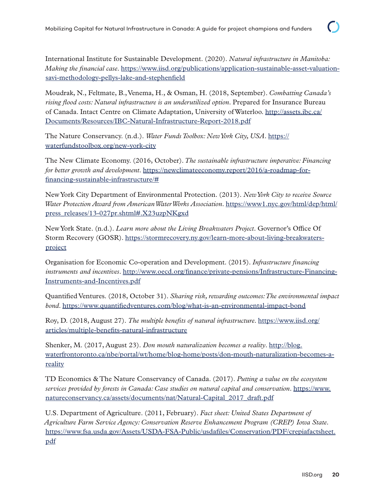International Institute for Sustainable Development. (2020). *Natural infrastructure in Manitoba: Making the financial case*. [https://www.iisd.org/publications/application-sustainable-asset-valuation](https://www.iisd.org/publications/application-sustainable-asset-valuation-savi-methodology-pellys-lake-and-stephenfield)[savi-methodology-pellys-lake-and-stephenfield](https://www.iisd.org/publications/application-sustainable-asset-valuation-savi-methodology-pellys-lake-and-stephenfield)

Moudrak, N., Feltmate, B., Venema, H., & Osman, H. (2018, September). *Combatting Canada's rising flood costs: Natural infrastructure is an underutilized option*. Prepared for Insurance Bureau of Canada. Intact Centre on Climate Adaptation, University of Waterloo. [http://assets.ibc.ca/](http://assets.ibc.ca/Documents/Resources/IBC-Natural-Infrastructure-Report-2018.pdf) [Documents/Resources/IBC-Natural-Infrastructure-Report-2018.pdf](http://assets.ibc.ca/Documents/Resources/IBC-Natural-Infrastructure-Report-2018.pdf)

The Nature Conservancy. (n.d.). *Water Funds Toolbox: New York City, USA*. [https://](https://waterfundstoolbox.org/new-york-city) [waterfundstoolbox.org/new-york-city](https://waterfundstoolbox.org/new-york-city)

The New Climate Economy. (2016, October). *The sustainable infrastructure imperative: Financing for better growth and development*. [https://newclimateeconomy.report/2016/a-roadmap-for](https://newclimateeconomy.report/2016/a-roadmap-for-financing-sustainable-infrastructure/#)[financing-sustainable-infrastructure/#](https://newclimateeconomy.report/2016/a-roadmap-for-financing-sustainable-infrastructure/#)

New York City Department of Environmental Protection. (2013). *New York City to receive Source Water Protection Award from American Water Works Association*. [https://www1.nyc.gov/html/dep/html/](https://www1.nyc.gov/html/dep/html/press_releases/13-027pr.shtml#.X23uzpNKgxd) [press\\_releases/13-027pr.shtml#.X23uzpNKgxd](https://www1.nyc.gov/html/dep/html/press_releases/13-027pr.shtml#.X23uzpNKgxd)

New York State. (n.d.). *Learn more about the Living Breakwaters Project*. Governor's Office Of Storm Recovery (GOSR). [https://stormrecovery.ny.gov/learn-more-about-living-breakwaters](https://stormrecovery.ny.gov/learn-more-about-living-breakwaters-project)[project](https://stormrecovery.ny.gov/learn-more-about-living-breakwaters-project)

Organisation for Economic Co-operation and Development. (2015). *Infrastructure financing instruments and incentives*. [http://www.oecd.org/finance/private-pensions/Infrastructure-Financing-](http://www.oecd.org/finance/private-pensions/Infrastructure-Financing-Instruments-and-Incentives.pdf)[Instruments-and-Incentives.pdf](http://www.oecd.org/finance/private-pensions/Infrastructure-Financing-Instruments-and-Incentives.pdf)

Quantified Ventures. (2018, October 31). *Sharing risk, rewarding outcomes: The environmental impact bond*.<https://www.quantifiedventures.com/blog/what-is-an-environmental-impact-bond>

Roy, D. (2018, August 27). *The multiple benefits of natural infrastructure*. [https://www.iisd.org/](https://www.iisd.org/articles/multiple-benefits-natural-infrastructure) [articles/multiple-benefits-natural-infrastructure](https://www.iisd.org/articles/multiple-benefits-natural-infrastructure)

Shenker, M. (2017, August 23). *Don mouth naturalization becomes a reality*. [http://blog.](http://blog.waterfrontoronto.ca/nbe/portal/wt/home/blog-home/posts/don-mouth-naturalization-becomes-a-reality) [waterfrontoronto.ca/nbe/portal/wt/home/blog-home/posts/don-mouth-naturalization-becomes-a](http://blog.waterfrontoronto.ca/nbe/portal/wt/home/blog-home/posts/don-mouth-naturalization-becomes-a-reality)[reality](http://blog.waterfrontoronto.ca/nbe/portal/wt/home/blog-home/posts/don-mouth-naturalization-becomes-a-reality)

TD Economics & The Nature Conservancy of Canada. (2017). *Putting a value on the ecosystem services provided by forests in Canada: Case studies on natural capital and conservation*. [https://www.](https://www.natureconservancy.ca/assets/documents/nat/Natural-Capital_2017_draft.pdf) [natureconservancy.ca/assets/documents/nat/Natural-Capital\\_2017\\_draft.pdf](https://www.natureconservancy.ca/assets/documents/nat/Natural-Capital_2017_draft.pdf)

U.S. Department of Agriculture. (2011, February). *Fact sheet: United States Department of Agriculture Farm Service Agency: Conservation Reserve Enhancement Program (CREP) Iowa State*. [https://www.fsa.usda.gov/Assets/USDA-FSA-Public/usdafiles/Conservation/PDF/crepiafactsheet.](https://www.fsa.usda.gov/Assets/USDA-FSA-Public/usdafiles/Conservation/PDF/crepiafactsheet.pdf) [pdf](https://www.fsa.usda.gov/Assets/USDA-FSA-Public/usdafiles/Conservation/PDF/crepiafactsheet.pdf)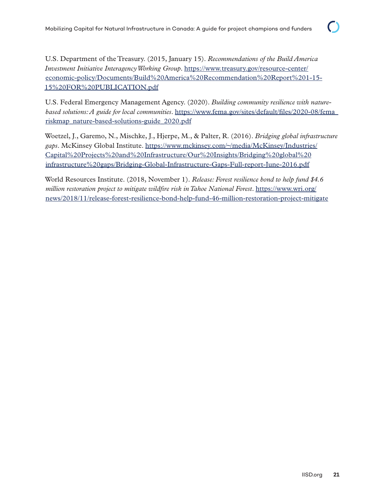U.S. Department of the Treasury. (2015, January 15). *Recommendations of the Build America Investment Initiative Interagency Working Group*. [https://www.treasury.gov/resource-center/](https://www.treasury.gov/resource-center/economic-policy/Documents/Build%20America%20Recommendation%20Report%201-15-15%20FOR%20PUBLICATION.pdf) [economic-policy/Documents/Build%20America%20Recommendation%20Report%201-15-](https://www.treasury.gov/resource-center/economic-policy/Documents/Build%20America%20Recommendation%20Report%201-15-15%20FOR%20PUBLICATION.pdf) [15%20FOR%20PUBLICATION.pdf](https://www.treasury.gov/resource-center/economic-policy/Documents/Build%20America%20Recommendation%20Report%201-15-15%20FOR%20PUBLICATION.pdf)

U.S. Federal Emergency Management Agency. (2020). *Building community resilience with naturebased solutions: A guide for local communities*. [https://www.fema.gov/sites/default/files/2020-08/fema\\_](https://www.fema.gov/sites/default/files/2020-08/fema_riskmap_nature-based-solutions-guide_2020.pdf) [riskmap\\_nature-based-solutions-guide\\_2020.pdf](https://www.fema.gov/sites/default/files/2020-08/fema_riskmap_nature-based-solutions-guide_2020.pdf)

Woetzel, J., Garemo, N., Mischke, J., Hjerpe, M., & Palter, R. (2016). *Bridging global infrastructure gaps*. McKinsey Global Institute. [https://www.mckinsey.com/~/media/McKinsey/Industries/](https://www.mckinsey.com/~/media/McKinsey/Industries/Capital%20Projects%20and%20Infrastructure/Our%20Insights/Bridging%20global%20infrastructure%20gaps/Bridging-Global-Infrastructure-Gaps-Full-report-June-2016.pdf) [Capital%20Projects%20and%20Infrastructure/Our%20Insights/Bridging%20global%20](https://www.mckinsey.com/~/media/McKinsey/Industries/Capital%20Projects%20and%20Infrastructure/Our%20Insights/Bridging%20global%20infrastructure%20gaps/Bridging-Global-Infrastructure-Gaps-Full-report-June-2016.pdf) [infrastructure%20gaps/Bridging-Global-Infrastructure-Gaps-Full-report-June-2016.pdf](https://www.mckinsey.com/~/media/McKinsey/Industries/Capital%20Projects%20and%20Infrastructure/Our%20Insights/Bridging%20global%20infrastructure%20gaps/Bridging-Global-Infrastructure-Gaps-Full-report-June-2016.pdf)

World Resources Institute. (2018, November 1). *Release: Forest resilience bond to help fund \$4.6 million restoration project to mitigate wildfire risk in Tahoe National Forest*. [https://www.wri.org/](https://www.wri.org/news/2018/11/release-forest-resilience-bond-help-fund-46-million-restoration-project-mitigate) [news/2018/11/release-forest-resilience-bond-help-fund-46-million-restoration-project-mitigate](https://www.wri.org/news/2018/11/release-forest-resilience-bond-help-fund-46-million-restoration-project-mitigate)